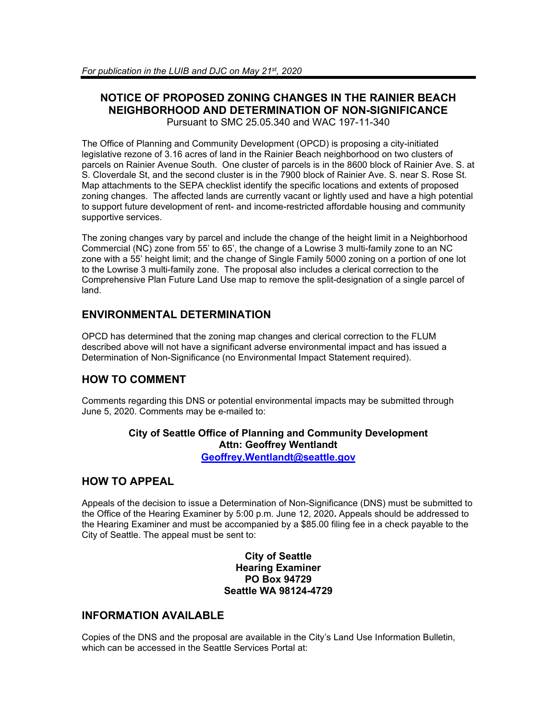### **NOTICE OF PROPOSED ZONING CHANGES IN THE RAINIER BEACH NEIGHBORHOOD AND DETERMINATION OF NON-SIGNIFICANCE** Pursuant to SMC 25.05.340 and WAC 197-11-340

The Office of Planning and Community Development (OPCD) is proposing a city-initiated legislative rezone of 3.16 acres of land in the Rainier Beach neighborhood on two clusters of parcels on Rainier Avenue South. One cluster of parcels is in the 8600 block of Rainier Ave. S. at S. Cloverdale St, and the second cluster is in the 7900 block of Rainier Ave. S. near S. Rose St. Map attachments to the SEPA checklist identify the specific locations and extents of proposed zoning changes. The affected lands are currently vacant or lightly used and have a high potential to support future development of rent- and income-restricted affordable housing and community supportive services.

The zoning changes vary by parcel and include the change of the height limit in a Neighborhood Commercial (NC) zone from 55' to 65', the change of a Lowrise 3 multi-family zone to an NC zone with a 55' height limit; and the change of Single Family 5000 zoning on a portion of one lot to the Lowrise 3 multi-family zone. The proposal also includes a clerical correction to the Comprehensive Plan Future Land Use map to remove the split-designation of a single parcel of land.

# **ENVIRONMENTAL DETERMINATION**

OPCD has determined that the zoning map changes and clerical correction to the FLUM described above will not have a significant adverse environmental impact and has issued a Determination of Non-Significance (no Environmental Impact Statement required).

## **HOW TO COMMENT**

Comments regarding this DNS or potential environmental impacts may be submitted through June 5, 2020. Comments may be e-mailed to:

### **City of Seattle Office of Planning and Community Development Attn: Geoffrey Wentlandt**

**[Geoffrey.Wentlandt@seattle.gov](mailto:Geoffrey.Wentlandt@seattle.gov)**

## **HOW TO APPEAL**

Appeals of the decision to issue a Determination of Non-Significance (DNS) must be submitted to the Office of the Hearing Examiner by 5:00 p.m. June 12, 2020**.** Appeals should be addressed to the Hearing Examiner and must be accompanied by a \$85.00 filing fee in a check payable to the City of Seattle. The appeal must be sent to:

### **City of Seattle Hearing Examiner PO Box 94729 Seattle WA 98124-4729**

## **INFORMATION AVAILABLE**

Copies of the DNS and the proposal are available in the City's Land Use Information Bulletin, which can be accessed in the Seattle Services Portal at: